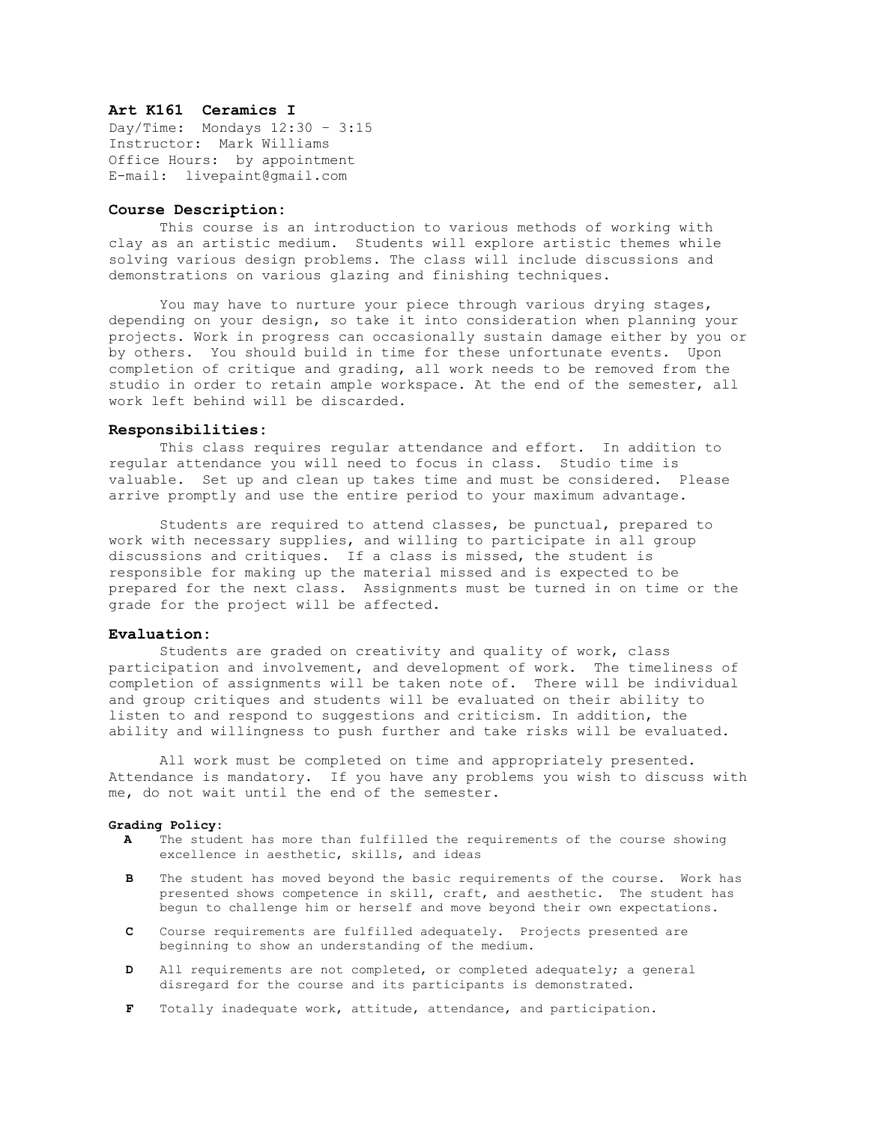# **Art K161 Ceramics I**

Day/Time: Mondays 12:30 – 3:15 Instructor: Mark Williams Office Hours: by appointment E-mail: livepaint@gmail.com

## **Course Description:**

This course is an introduction to various methods of working with clay as an artistic medium. Students will explore artistic themes while solving various design problems. The class will include discussions and demonstrations on various glazing and finishing techniques.

You may have to nurture your piece through various drying stages, depending on your design, so take it into consideration when planning your projects. Work in progress can occasionally sustain damage either by you or by others. You should build in time for these unfortunate events. Upon completion of critique and grading, all work needs to be removed from the studio in order to retain ample workspace. At the end of the semester, all work left behind will be discarded.

#### **Responsibilities:**

This class requires regular attendance and effort. In addition to regular attendance you will need to focus in class. Studio time is valuable. Set up and clean up takes time and must be considered. Please arrive promptly and use the entire period to your maximum advantage.

Students are required to attend classes, be punctual, prepared to work with necessary supplies, and willing to participate in all group discussions and critiques. If a class is missed, the student is responsible for making up the material missed and is expected to be prepared for the next class. Assignments must be turned in on time or the grade for the project will be affected.

### **Evaluation:**

Students are graded on creativity and quality of work, class participation and involvement, and development of work. The timeliness of completion of assignments will be taken note of. There will be individual and group critiques and students will be evaluated on their ability to listen to and respond to suggestions and criticism. In addition, the ability and willingness to push further and take risks will be evaluated.

All work must be completed on time and appropriately presented. Attendance is mandatory. If you have any problems you wish to discuss with me, do not wait until the end of the semester.

#### **Grading Policy:**

- **A** The student has more than fulfilled the requirements of the course showing excellence in aesthetic, skills, and ideas
- **B** The student has moved beyond the basic requirements of the course. Work has presented shows competence in skill, craft, and aesthetic. The student has begun to challenge him or herself and move beyond their own expectations.
- **C** Course requirements are fulfilled adequately. Projects presented are beginning to show an understanding of the medium.
- **D** All requirements are not completed, or completed adequately; a general disregard for the course and its participants is demonstrated.
- **F** Totally inadequate work, attitude, attendance, and participation.